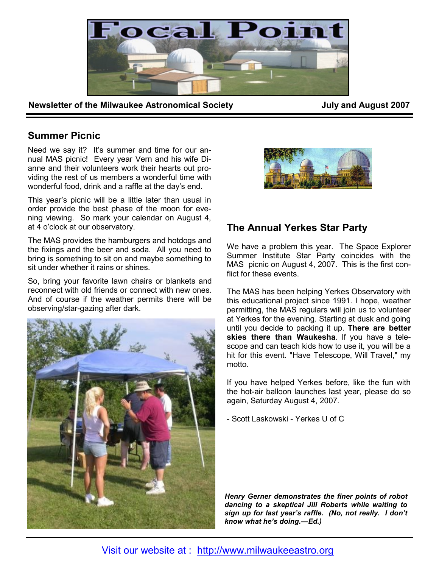

**Newsletter of the Milwaukee Astronomical Society and August 2007** 

# **Summer Picnic**

Need we say it? It's summer and time for our annual MAS picnic! Every year Vern and his wife Dianne and their volunteers work their hearts out providing the rest of us members a wonderful time with wonderful food, drink and a raffle at the day"s end.

This year"s picnic will be a little later than usual in order provide the best phase of the moon for evening viewing. So mark your calendar on August 4, at 4 o"clock at our observatory.

The MAS provides the hamburgers and hotdogs and the fixings and the beer and soda. All you need to bring is something to sit on and maybe something to sit under whether it rains or shines.

So, bring your favorite lawn chairs or blankets and reconnect with old friends or connect with new ones. And of course if the weather permits there will be observing/star-gazing after dark.





# **The Annual Yerkes Star Party**

We have a problem this year. The Space Explorer Summer Institute Star Party coincides with the MAS picnic on August 4, 2007. This is the first conflict for these events.

The MAS has been helping Yerkes Observatory with this educational project since 1991. I hope, weather permitting, the MAS regulars will join us to volunteer at Yerkes for the evening. Starting at dusk and going until you decide to packing it up. **There are better skies there than Waukesha**. If you have a telescope and can teach kids how to use it, you will be a hit for this event. "Have Telescope, Will Travel," my motto.

If you have helped Yerkes before, like the fun with the hot-air balloon launches last year, please do so again, Saturday August 4, 2007.

- Scott Laskowski - Yerkes U of C

*Henry Gerner demonstrates the finer points of robot dancing to a skeptical Jill Roberts while waiting to sign up for last year's raffle. (No, not really. I don't know what he's doing.—Ed.)*

# Visit our website at : <http://www.milwaukeeastro.org>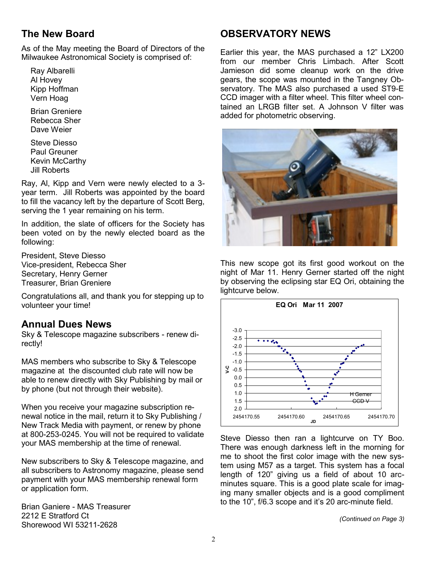# **The New Board**

As of the May meeting the Board of Directors of the Milwaukee Astronomical Society is comprised of:

Ray Albarelli Al Hovey Kipp Hoffman Vern Hoag

Brian Greniere Rebecca Sher Dave Weier

Steve Diesso Paul Greuner Kevin McCarthy Jill Roberts

Ray, Al, Kipp and Vern were newly elected to a 3 year term. Jill Roberts was appointed by the board to fill the vacancy left by the departure of Scott Berg, serving the 1 year remaining on his term.

In addition, the slate of officers for the Society has been voted on by the newly elected board as the following:

President, Steve Diesso Vice-president, Rebecca Sher Secretary, Henry Gerner Treasurer, Brian Greniere

Congratulations all, and thank you for stepping up to volunteer your time!

# **Annual Dues News**

Sky & Telescope magazine subscribers - renew directly!

MAS members who subscribe to Sky & Telescope magazine at the discounted club rate will now be able to renew directly with Sky Publishing by mail or by phone (but not through their website).

When you receive your magazine subscription renewal notice in the mail, return it to Sky Publishing / New Track Media with payment, or renew by phone at 800-253-0245. You will not be required to validate your MAS membership at the time of renewal.

New subscribers to Sky & Telescope magazine, and all subscribers to Astronomy magazine, please send payment with your MAS membership renewal form or application form.

Brian Ganiere - MAS Treasurer 2212 E Stratford Ct Shorewood WI 53211-2628

# **OBSERVATORY NEWS**

Earlier this year, the MAS purchased a 12" LX200 from our member Chris Limbach. After Scott Jamieson did some cleanup work on the drive gears, the scope was mounted in the Tangney Observatory. The MAS also purchased a used ST9-E CCD imager with a filter wheel. This filter wheel contained an LRGB filter set. A Johnson V filter was added for photometric observing.



This new scope got its first good workout on the night of Mar 11. Henry Gerner started off the night by observing the eclipsing star EQ Ori, obtaining the lightcurve below.



Steve Diesso then ran a lightcurve on TY Boo. There was enough darkness left in the morning for me to shoot the first color image with the new system using M57 as a target. This system has a focal length of 120" giving us a field of about 10 arcminutes square. This is a good plate scale for imaging many smaller objects and is a good compliment to the 10", f/6.3 scope and it's 20 arc-minute field.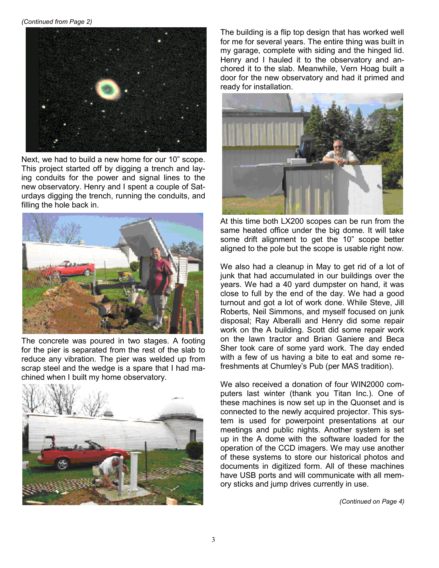*(Continued from Page 2)*



Next, we had to build a new home for our 10" scope. This project started off by digging a trench and laying conduits for the power and signal lines to the new observatory. Henry and I spent a couple of Saturdays digging the trench, running the conduits, and filling the hole back in.



The concrete was poured in two stages. A footing for the pier is separated from the rest of the slab to reduce any vibration. The pier was welded up from scrap steel and the wedge is a spare that I had machined when I built my home observatory.



The building is a flip top design that has worked well for me for several years. The entire thing was built in my garage, complete with siding and the hinged lid. Henry and I hauled it to the observatory and anchored it to the slab. Meanwhile, Vern Hoag built a door for the new observatory and had it primed and ready for installation.



At this time both LX200 scopes can be run from the same heated office under the big dome. It will take some drift alignment to get the 10" scope better aligned to the pole but the scope is usable right now.

We also had a cleanup in May to get rid of a lot of junk that had accumulated in our buildings over the years. We had a 40 yard dumpster on hand, it was close to full by the end of the day. We had a good turnout and got a lot of work done. While Steve, Jill Roberts, Neil Simmons, and myself focused on junk disposal; Ray Alberalli and Henry did some repair work on the A building. Scott did some repair work on the lawn tractor and Brian Ganiere and Beca Sher took care of some yard work. The day ended with a few of us having a bite to eat and some refreshments at Chumley"s Pub (per MAS tradition).

We also received a donation of four WIN2000 computers last winter (thank you Titan Inc.). One of these machines is now set up in the Quonset and is connected to the newly acquired projector. This system is used for powerpoint presentations at our meetings and public nights. Another system is set up in the A dome with the software loaded for the operation of the CCD imagers. We may use another of these systems to store our historical photos and documents in digitized form. All of these machines have USB ports and will communicate with all memory sticks and jump drives currently in use.

*(Continued on Page 4)*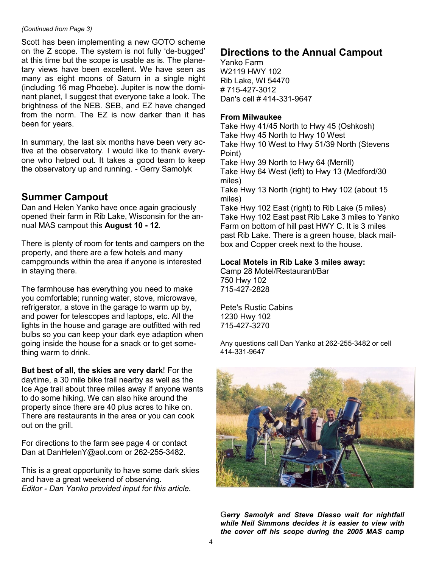#### *(Continued from Page 3)*

Scott has been implementing a new GOTO scheme on the Z scope. The system is not fully "de-bugged" at this time but the scope is usable as is. The planetary views have been excellent. We have seen as many as eight moons of Saturn in a single night (including 16 mag Phoebe). Jupiter is now the dominant planet, I suggest that everyone take a look. The brightness of the NEB. SEB, and EZ have changed from the norm. The EZ is now darker than it has been for years.

In summary, the last six months have been very active at the observatory. I would like to thank everyone who helped out. It takes a good team to keep the observatory up and running. - Gerry Samolyk

# **Summer Campout**

Dan and Helen Yanko have once again graciously opened their farm in Rib Lake, Wisconsin for the annual MAS campout this **August 10 - 12**.

There is plenty of room for tents and campers on the property, and there are a few hotels and many campgrounds within the area if anyone is interested in staying there.

The farmhouse has everything you need to make you comfortable; running water, stove, microwave, refrigerator, a stove in the garage to warm up by, and power for telescopes and laptops, etc. All the lights in the house and garage are outfitted with red bulbs so you can keep your dark eye adaption when going inside the house for a snack or to get something warm to drink.

**But best of all, the skies are very dark**! For the daytime, a 30 mile bike trail nearby as well as the Ice Age trail about three miles away if anyone wants to do some hiking. We can also hike around the property since there are 40 plus acres to hike on. There are restaurants in the area or you can cook out on the grill.

For directions to the farm see page 4 or contact Dan at DanHelenY@aol.com or 262-255-3482.

This is a great opportunity to have some dark skies and have a great weekend of observing. *Editor - Dan Yanko provided input for this article.*

# **Directions to the Annual Campout**

Yanko Farm W2119 HWY 102 Rib Lake, WI 54470 # 715-427-3012 Dan's cell # 414-331-9647

## **From Milwaukee**

Take Hwy 41/45 North to Hwy 45 (Oshkosh) Take Hwy 45 North to Hwy 10 West Take Hwy 10 West to Hwy 51/39 North (Stevens Point) Take Hwy 39 North to Hwy 64 (Merrill)

Take Hwy 64 West (left) to Hwy 13 (Medford/30 miles)

Take Hwy 13 North (right) to Hwy 102 (about 15 miles)

Take Hwy 102 East (right) to Rib Lake (5 miles) Take Hwy 102 East past Rib Lake 3 miles to Yanko Farm on bottom of hill past HWY C. It is 3 miles past Rib Lake. There is a green house, black mailbox and Copper creek next to the house.

## **Local Motels in Rib Lake 3 miles away:**

Camp 28 Motel/Restaurant/Bar 750 Hwy 102 715-427-2828

Pete's Rustic Cabins 1230 Hwy 102 715-427-3270

Any questions call Dan Yanko at 262-255-3482 or cell 414-331-9647



G*erry Samolyk and Steve Diesso wait for nightfall while Neil Simmons decides it is easier to view with the cover off his scope during the 2005 MAS camp*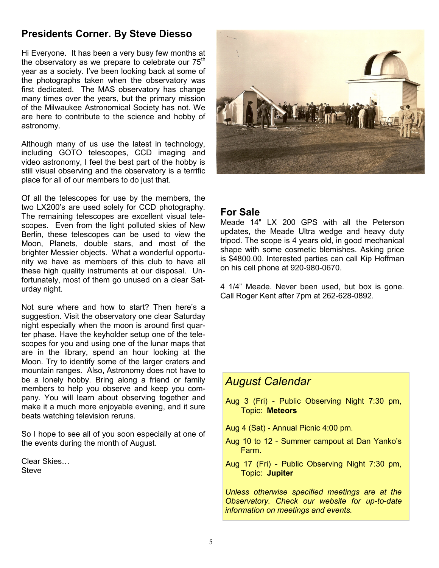# **Presidents Corner. By Steve Diesso**

Hi Everyone. It has been a very busy few months at the observatory as we prepare to celebrate our  $75<sup>th</sup>$ year as a society. I've been looking back at some of the photographs taken when the observatory was first dedicated. The MAS observatory has change many times over the years, but the primary mission of the Milwaukee Astronomical Society has not. We are here to contribute to the science and hobby of astronomy.

Although many of us use the latest in technology, including GOTO telescopes, CCD imaging and video astronomy, I feel the best part of the hobby is still visual observing and the observatory is a terrific place for all of our members to do just that.

Of all the telescopes for use by the members, the two LX200"s are used solely for CCD photography. The remaining telescopes are excellent visual telescopes. Even from the light polluted skies of New Berlin, these telescopes can be used to view the Moon, Planets, double stars, and most of the brighter Messier objects. What a wonderful opportunity we have as members of this club to have all these high quality instruments at our disposal. Unfortunately, most of them go unused on a clear Saturday night.

Not sure where and how to start? Then here's a suggestion. Visit the observatory one clear Saturday night especially when the moon is around first quarter phase. Have the keyholder setup one of the telescopes for you and using one of the lunar maps that are in the library, spend an hour looking at the Moon. Try to identify some of the larger craters and mountain ranges. Also, Astronomy does not have to be a lonely hobby. Bring along a friend or family members to help you observe and keep you company. You will learn about observing together and make it a much more enjoyable evening, and it sure beats watching television reruns.

So I hope to see all of you soon especially at one of the events during the month of August.

Clear Skies… **Steve** 



## **For Sale**

Meade 14" LX 200 GPS with all the Peterson updates, the Meade Ultra wedge and heavy duty tripod. The scope is 4 years old, in good mechanical shape with some cosmetic blemishes. Asking price is \$4800.00. Interested parties can call Kip Hoffman on his cell phone at 920-980-0670.

4 1/4" Meade. Never been used, but box is gone. Call Roger Kent after 7pm at 262-628-0892.

# *August Calendar*

- Aug 3 (Fri) Public Observing Night 7:30 pm, Topic: **Meteors**
- Aug 4 (Sat) Annual Picnic 4:00 pm.
- Aug 10 to 12 Summer campout at Dan Yanko"s Farm.
- Aug 17 (Fri) Public Observing Night 7:30 pm, Topic: **Jupiter**

*Unless otherwise specified meetings are at the Observatory. Check our website for up-to-date information on meetings and events.*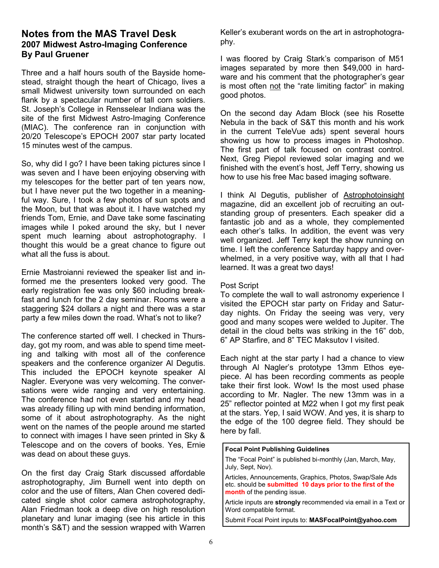## **Notes from the MAS Travel Desk 2007 Midwest Astro-Imaging Conference By Paul Gruener**

Three and a half hours south of the Bayside homestead, straight though the heart of Chicago, lives a small Midwest university town surrounded on each flank by a spectacular number of tall corn soldiers. St. Joseph"s College in Rensselear Indiana was the site of the first Midwest Astro-Imaging Conference (MIAC). The conference ran in conjunction with 20/20 Telescope"s EPOCH 2007 star party located 15 minutes west of the campus.

So, why did I go? I have been taking pictures since I was seven and I have been enjoying observing with my telescopes for the better part of ten years now, but I have never put the two together in a meaningful way. Sure, I took a few photos of sun spots and the Moon, but that was about it. I have watched my friends Tom, Ernie, and Dave take some fascinating images while I poked around the sky, but I never spent much learning about astrophotography. I thought this would be a great chance to figure out what all the fuss is about.

Ernie Mastroianni reviewed the speaker list and informed me the presenters looked very good. The early registration fee was only \$60 including breakfast and lunch for the 2 day seminar. Rooms were a staggering \$24 dollars a night and there was a star party a few miles down the road. What's not to like?

The conference started off well. I checked in Thursday, got my room, and was able to spend time meeting and talking with most all of the conference speakers and the conference organizer Al Degutis. This included the EPOCH keynote speaker Al Nagler. Everyone was very welcoming. The conversations were wide ranging and very entertaining. The conference had not even started and my head was already filling up with mind bending information, some of it about astrophotography. As the night went on the names of the people around me started to connect with images I have seen printed in Sky & Telescope and on the covers of books. Yes, Ernie was dead on about these guys.

On the first day Craig Stark discussed affordable astrophotography, Jim Burnell went into depth on color and the use of filters, Alan Chen covered dedicated single shot color camera astrophotography, Alan Friedman took a deep dive on high resolution planetary and lunar imaging (see his article in this month's S&T) and the session wrapped with Warren Keller"s exuberant words on the art in astrophotography.

I was floored by Craig Stark"s comparison of M51 images separated by more then \$49,000 in hardware and his comment that the photographer's gear is most often not the "rate limiting factor" in making good photos.

On the second day Adam Block (see his Rosette Nebula in the back of S&T this month and his work in the current TeleVue ads) spent several hours showing us how to process images in Photoshop. The first part of talk focused on contrast control. Next, Greg Piepol reviewed solar imaging and we finished with the event"s host, Jeff Terry, showing us how to use his free Mac based imaging software.

I think Al Degutis, publisher of Astrophotoinsight magazine, did an excellent job of recruiting an outstanding group of presenters. Each speaker did a fantastic job and as a whole, they complemented each other"s talks. In addition, the event was very well organized. Jeff Terry kept the show running on time. I left the conference Saturday happy and overwhelmed, in a very positive way, with all that I had learned. It was a great two days!

#### Post Script

To complete the wall to wall astronomy experience I visited the EPOCH star party on Friday and Saturday nights. On Friday the seeing was very, very good and many scopes were welded to Jupiter. The detail in the cloud belts was striking in the 16" dob, 6" AP Starfire, and 8" TEC Maksutov I visited.

Each night at the star party I had a chance to view through Al Nagler"s prototype 13mm Ethos eyepiece. Al has been recording comments as people take their first look. Wow! Is the most used phase according to Mr. Nagler. The new 13mm was in a 25" reflector pointed at M22 when I got my first peak at the stars. Yep, I said WOW. And yes, it is sharp to the edge of the 100 degree field. They should be here by fall.

#### **Focal Point Publishing Guidelines**

The "Focal Point" is published bi-monthly (Jan, March, May, July, Sept, Nov).

Articles, Announcements, Graphics, Photos, Swap/Sale Ads etc. should be **submitted 10 days prior to the first of the month** of the pending issue.

Article inputs are **strongly** recommended via email in a Text or Word compatible format.

Submit Focal Point inputs to: **MASFocalPoint@yahoo.com**